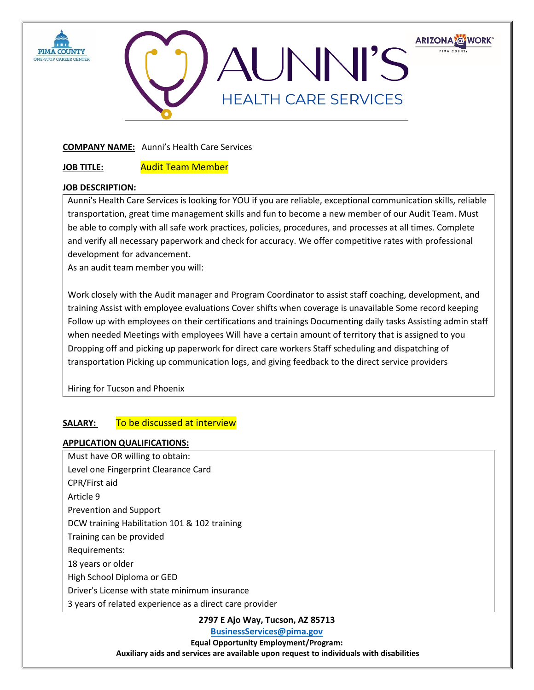



## **COMPANY NAME:** Aunni's Health Care Services

**JOB TITLE:** Audit Team Member

## **JOB DESCRIPTION:**

Aunni's Health Care Services is looking for YOU if you are reliable, exceptional communication skills, reliable transportation, great time management skills and fun to become a new member of our Audit Team. Must be able to comply with all safe work practices, policies, procedures, and processes at all times. Complete and verify all necessary paperwork and check for accuracy. We offer competitive rates with professional development for advancement.

As an audit team member you will:

Work closely with the Audit manager and Program Coordinator to assist staff coaching, development, and training Assist with employee evaluations Cover shifts when coverage is unavailable Some record keeping Follow up with employees on their certifications and trainings Documenting daily tasks Assisting admin staff when needed Meetings with employees Will have a certain amount of territory that is assigned to you Dropping off and picking up paperwork for direct care workers Staff scheduling and dispatching of transportation Picking up communication logs, and giving feedback to the direct service providers

Hiring for Tucson and Phoenix

## **SALARY:** To be discussed at interview

## **APPLICATION QUALIFICATIONS:**

Must have OR willing to obtain: Level one Fingerprint Clearance Card CPR/First aid Article 9 Prevention and Support DCW training Habilitation 101 & 102 training Training can be provided Requirements: 18 years or older High School Diploma or GED Driver's License with state minimum insurance 3 years of related experience as a direct care provider

**2797 E Ajo Way, Tucson, AZ 85713**

**[BusinessServices@pima.gov](mailto:BusinessServices@pima.gov)**

**Equal Opportunity Employment/Program: Auxiliary aids and services are available upon request to individuals with disabilities**